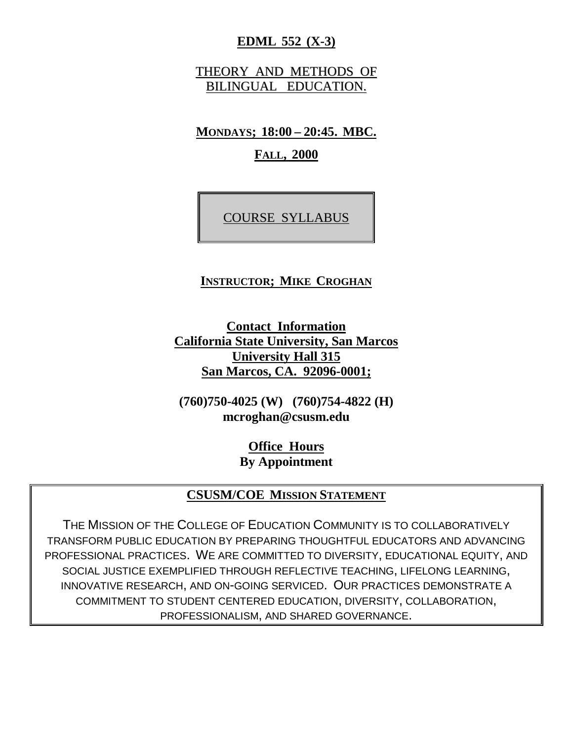### **EDML 552 (X-3)**

THEORY AND METHODS OF BILINGUAL EDUCATION.

**MONDAYS; 18:00 – 20:45. MBC.**

**FALL, 2000**

COURSE SYLLABUS

#### **INSTRUCTOR; MIKE CROGHAN**

**Contact Information California State University, San Marcos University Hall 315 San Marcos, CA. 92096-0001;**

**(760)750-4025 (W) (760)754-4822 (H) mcroghan@csusm.edu**

> **Office Hours By Appointment**

#### **CSUSM/COE MISSION STATEMENT**

THE MISSION OF THE COLLEGE OF EDUCATION COMMUNITY IS TO COLLABORATIVELY TRANSFORM PUBLIC EDUCATION BY PREPARING THOUGHTFUL EDUCATORS AND ADVANCING PROFESSIONAL PRACTICES. WE ARE COMMITTED TO DIVERSITY, EDUCATIONAL EQUITY, AND SOCIAL JUSTICE EXEMPLIFIED THROUGH REFLECTIVE TEACHING, LIFELONG LEARNING, INNOVATIVE RESEARCH, AND ON-GOING SERVICED. OUR PRACTICES DEMONSTRATE A COMMITMENT TO STUDENT CENTERED EDUCATION, DIVERSITY, COLLABORATION, PROFESSIONALISM, AND SHARED GOVERNANCE.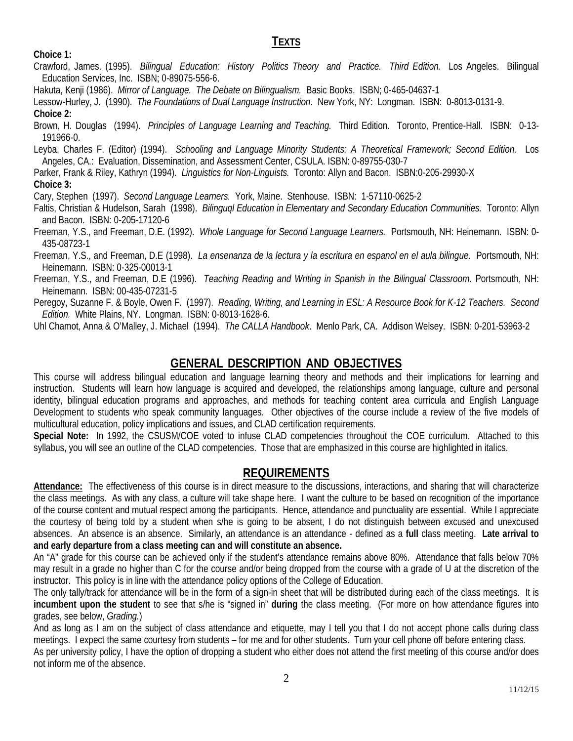#### **TEXTS**

**Choice 1:**

- Crawford, James. (1995). *Bilingual Education: History Politics Theory and Practice. Third Edition.* Los Angeles. Bilingual Education Services, Inc. ISBN; 0-89075-556-6.
- Hakuta, Kenji (1986). *Mirror of Language. The Debate on Bilingualism.* Basic Books. ISBN; 0-465-04637-1

Lessow-Hurley, J. (1990). *The Foundations of Dual Language Instruction*. New York, NY: Longman. ISBN: 0-8013-0131-9. **Choice 2:**

Brown, H. Douglas (1994). *Principles of Language Learning and Teaching.* Third Edition. Toronto, Prentice-Hall. ISBN: 0-13- 191966-0.

Leyba, Charles F. (Editor) (1994). *Schooling and Language Minority Students: A Theoretical Framework; Second Edition.* Los Angeles, CA.: Evaluation, Dissemination, and Assessment Center, CSULA. ISBN: 0-89755-030-7

Parker, Frank & Riley, Kathryn (1994). *Linguistics for Non-Linguists.* Toronto: Allyn and Bacon. ISBN:0-205-29930-X **Choice 3:**

Cary, Stephen (1997). *Second Language Learners.* York, Maine. Stenhouse. ISBN: 1-57110-0625-2

Faltis, Christian & Hudelson, Sarah (1998). *Bilinguql Education in Elementary and Secondary Education Communities.* Toronto: Allyn and Bacon. ISBN: 0-205-17120-6

Freeman, Y.S., and Freeman, D.E. (1992). *Whole Language for Second Language Learners.* Portsmouth, NH: Heinemann. ISBN: 0- 435-08723-1

Freeman, Y.S., and Freeman, D.E (1998). *La ensenanza de la lectura y la escritura en espanol en el aula bilingue.* Portsmouth, NH: Heinemann. ISBN: 0-325-00013-1

Freeman, Y.S., and Freeman, D.E (1996). *Teaching Reading and Writing in Spanish in the Bilingual Classroom.* Portsmouth, NH: Heinemann. ISBN: 00-435-07231-5

Peregoy, Suzanne F. & Boyle, Owen F. (1997). *Reading, Writing, and Learning in ESL: A Resource Book for K-12 Teachers. Second Edition.* White Plains, NY. Longman. ISBN: 0-8013-1628-6.

Uhl Chamot, Anna & O'Malley, J. Michael (1994). *The CALLA Handbook*. Menlo Park, CA. Addison Welsey. ISBN: 0-201-53963-2

### **GENERAL DESCRIPTION AND OBJECTIVES**

This course will address bilingual education and language learning theory and methods and their implications for learning and instruction. Students will learn how language is acquired and developed, the relationships among language, culture and personal identity, bilingual education programs and approaches, and methods for teaching content area curricula and English Language Development to students who speak community languages. Other objectives of the course include a review of the five models of multicultural education, policy implications and issues, and CLAD certification requirements.

**Special Note:** In 1992, the CSUSM/COE voted to infuse CLAD competencies throughout the COE curriculum. Attached to this syllabus, you will see an outline of the CLAD competencies. Those that are emphasized in this course are highlighted in italics.

## **REQUIREMENTS**

**Attendance:** The effectiveness of this course is in direct measure to the discussions, interactions, and sharing that will characterize the class meetings. As with any class, a culture will take shape here. I want the culture to be based on recognition of the importance of the course content and mutual respect among the participants. Hence, attendance and punctuality are essential. While I appreciate the courtesy of being told by a student when s/he is going to be absent, I do not distinguish between excused and unexcused absences. An absence is an absence. Similarly, an attendance is an attendance - defined as a **full** class meeting. **Late arrival to and early departure from a class meeting can and will constitute an absence.**

An "A" grade for this course can be achieved only if the student's attendance remains above 80%. Attendance that falls below 70% may result in a grade no higher than C for the course and/or being dropped from the course with a grade of U at the discretion of the instructor. This policy is in line with the attendance policy options of the College of Education.

The only tally/track for attendance will be in the form of a sign-in sheet that will be distributed during each of the class meetings. It is **incumbent upon the student** to see that s/he is "signed in" **during** the class meeting. (For more on how attendance figures into grades, see below, *Grading.*)

And as long as I am on the subject of class attendance and etiquette, may I tell you that I do not accept phone calls during class meetings. I expect the same courtesy from students – for me and for other students. Turn your cell phone off before entering class.

As per university policy, I have the option of dropping a student who either does not attend the first meeting of this course and/or does not inform me of the absence.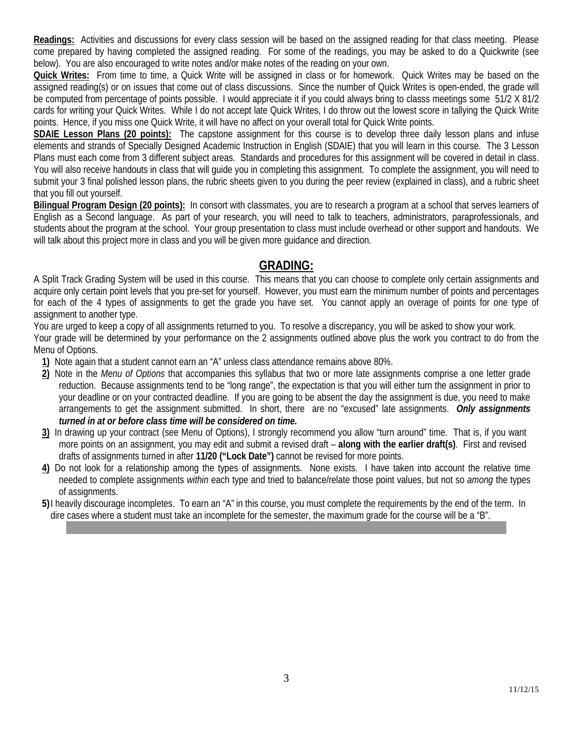**Readings:** Activities and discussions for every class session will be based on the assigned reading for that class meeting. Please come prepared by having completed the assigned reading. For some of the readings, you may be asked to do a Quickwrite (see below). You are also encouraged to write notes and/or make notes of the reading on your own.

**Quick Writes:** From time to time, a Quick Write will be assigned in class or for homework. Quick Writes may be based on the assigned reading(s) or on issues that come out of class discussions. Since the number of Quick Writes is open-ended, the grade will be computed from percentage of points possible. I would appreciate it if you could always bring to classs meetings some 51/2 X 81/2 cards for writing your Quick Writes. While I do not accept late Quick Writes, I do throw out the lowest score in tallying the Quick Write points. Hence, if you miss one Quick Write, it will have no affect on your overall total for Quick Write points.

**SDAIE Lesson Plans (20 points):** The capstone assignment for this course is to develop three daily lesson plans and infuse elements and strands of Specially Designed Academic Instruction in English (SDAIE) that you will learn in this course. The 3 Lesson Plans must each come from 3 different subject areas. Standards and procedures for this assignment will be covered in detail in class. You will also receive handouts in class that will guide you in completing this assignment. To complete the assignment, you will need to submit your 3 final polished lesson plans, the rubric sheets given to you during the peer review (explained in class), and a rubric sheet that you fill out yourself.

**Bilingual Program Design (20 points):** In consort with classmates, you are to research a program at a school that serves learners of English as a Second language. As part of your research, you will need to talk to teachers, administrators, paraprofessionals, and students about the program at the school. Your group presentation to class must include overhead or other support and handouts. We will talk about this project more in class and you will be given more guidance and direction.

# **GRADING:**

A Split Track Grading System will be used in this course. This means that you can choose to complete only certain assignments and acquire only certain point levels that you pre-set for yourself. However, you must earn the minimum number of points and percentages for each of the 4 types of assignments to get the grade you have set. You cannot apply an overage of points for one type of assignment to another type.

You are urged to keep a copy of all assignments returned to you. To resolve a discrepancy, you will be asked to show your work. Your grade will be determined by your performance on the 2 assignments outlined above plus the work you contract to do from the

Menu of Options.

- **1)** Note again that a student cannot earn an "A" unless class attendance remains above 80%.
- **2)** Note in the *Menu of Options* that accompanies this syllabus that two or more late assignments comprise a one letter grade reduction. Because assignments tend to be "long range", the expectation is that you will either turn the assignment in prior to your deadline or on your contracted deadline. If you are going to be absent the day the assignment is due, you need to make arrangements to get the assignment submitted. In short, there are no "excused" late assignments. *Only assignments turned in at or before class time will be considered on time.*
- **3)** In drawing up your contract (see Menu of Options), I strongly recommend you allow "turn around" time. That is, if you want more points on an assignment, you may edit and submit a revised draft – **along with the earlier draft(s)**. First and revised drafts of assignments turned in after **11/20 ("Lock Date")** cannot be revised for more points.
- **4)** Do not look for a relationship among the types of assignments. None exists. I have taken into account the relative time needed to complete assignments *within* each type and tried to balance/relate those point values, but not so *among* the types of assignments.
- **5)**I heavily discourage incompletes. To earn an "A" in this course, you must complete the requirements by the end of the term. In dire cases where a student must take an incomplete for the semester, the maximum grade for the course will be a "B".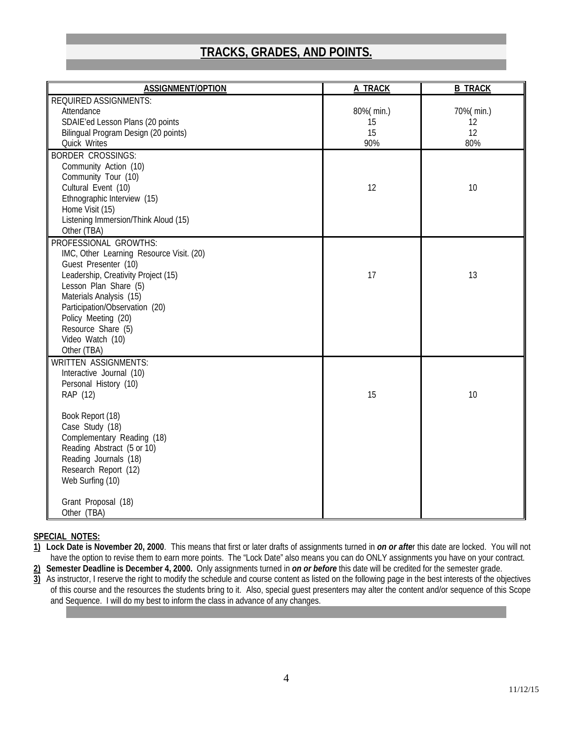# **TRACKS, GRADES, AND POINTS.**

| <b>ASSIGNMENT/OPTION</b>                 | <b>A TRACK</b> | <b>B TRACK</b> |
|------------------------------------------|----------------|----------------|
| <b>REQUIRED ASSIGNMENTS:</b>             |                |                |
| Attendance                               | 80%(min.)      | 70%(min.)      |
| SDAIE'ed Lesson Plans (20 points         | 15             | 12             |
| Bilingual Program Design (20 points)     | 15             | 12             |
| Quick Writes                             | 90%            | 80%            |
| <b>BORDER CROSSINGS:</b>                 |                |                |
| Community Action (10)                    |                |                |
| Community Tour (10)                      |                |                |
| Cultural Event (10)                      | 12             | 10             |
| Ethnographic Interview (15)              |                |                |
| Home Visit (15)                          |                |                |
| Listening Immersion/Think Aloud (15)     |                |                |
| Other (TBA)                              |                |                |
| PROFESSIONAL GROWTHS:                    |                |                |
| IMC, Other Learning Resource Visit. (20) |                |                |
| Guest Presenter (10)                     |                |                |
| Leadership, Creativity Project (15)      | 17             | 13             |
| Lesson Plan Share (5)                    |                |                |
| Materials Analysis (15)                  |                |                |
| Participation/Observation (20)           |                |                |
| Policy Meeting (20)                      |                |                |
| Resource Share (5)                       |                |                |
| Video Watch (10)                         |                |                |
| Other (TBA)                              |                |                |
| <b>WRITTEN ASSIGNMENTS:</b>              |                |                |
| Interactive Journal (10)                 |                |                |
| Personal History (10)                    |                |                |
| RAP (12)                                 | 15             | 10             |
|                                          |                |                |
| Book Report (18)                         |                |                |
| Case Study (18)                          |                |                |
| Complementary Reading (18)               |                |                |
| Reading Abstract (5 or 10)               |                |                |
| Reading Journals (18)                    |                |                |
| Research Report (12)                     |                |                |
| Web Surfing (10)                         |                |                |
|                                          |                |                |
| Grant Proposal (18)                      |                |                |
| Other (TBA)                              |                |                |

#### **SPECIAL NOTES:**

- **1) Lock Date is November 20, 2000**. This means that first or later drafts of assignments turned in *on or afte*r this date are locked. You will not have the option to revise them to earn more points. The "Lock Date" also means you can do ONLY assignments you have on your contract.
- **2) Semester Deadline is December 4, 2000.** Only assignments turned in *on or before* this date will be credited for the semester grade.
- **3)** As instructor, I reserve the right to modify the schedule and course content as listed on the following page in the best interests of the objectives of this course and the resources the students bring to it. Also, special guest presenters may alter the content and/or sequence of this Scope and Sequence. I will do my best to inform the class in advance of any changes.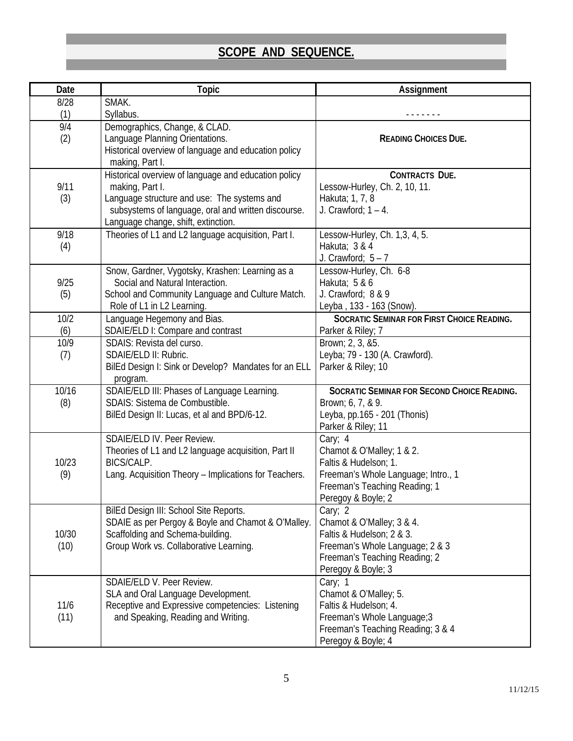# **SCOPE AND SEQUENCE.**

| Date          | <b>Topic</b>                                                                                                                                                                                                         | Assignment                                                                                                                                                  |
|---------------|----------------------------------------------------------------------------------------------------------------------------------------------------------------------------------------------------------------------|-------------------------------------------------------------------------------------------------------------------------------------------------------------|
| 8/28          | SMAK.                                                                                                                                                                                                                |                                                                                                                                                             |
| (1)           | Syllabus.                                                                                                                                                                                                            |                                                                                                                                                             |
| 9/4<br>(2)    | Demographics, Change, & CLAD.<br>Language Planning Orientations.<br>Historical overview of language and education policy<br>making, Part I.                                                                          | <b>READING CHOICES DUE.</b>                                                                                                                                 |
| 9/11<br>(3)   | Historical overview of language and education policy<br>making, Part I.<br>Language structure and use: The systems and<br>subsystems of language, oral and written discourse.<br>Language change, shift, extinction. | CONTRACTS DUE.<br>Lessow-Hurley, Ch. 2, 10, 11.<br>Hakuta; 1, 7, 8<br>J. Crawford; $1 - 4$ .                                                                |
| 9/18<br>(4)   | Theories of L1 and L2 language acquisition, Part I.                                                                                                                                                                  | Lessow-Hurley, Ch. 1,3, 4, 5.<br>Hakuta; 3 & 4<br>J. Crawford; $5 - 7$                                                                                      |
| 9/25<br>(5)   | Snow, Gardner, Vygotsky, Krashen: Learning as a<br>Social and Natural Interaction.<br>School and Community Language and Culture Match.<br>Role of L1 in L2 Learning                                                  | Lessow-Hurley, Ch. 6-8<br>Hakuta; 5 & 6<br>J. Crawford; 8 & 9<br>Leyba, 133 - 163 (Snow).                                                                   |
| 10/2<br>(6)   | Language Hegemony and Bias.<br>SDAIE/ELD I: Compare and contrast                                                                                                                                                     | SOCRATIC SEMINAR FOR FIRST CHOICE READING.<br>Parker & Riley; 7                                                                                             |
| 10/9<br>(7)   | SDAIS: Revista del curso.<br>SDAIE/ELD II: Rubric.<br>BilEd Design I: Sink or Develop? Mandates for an ELL<br>program.                                                                                               | Brown; 2, 3, &5.<br>Leyba; 79 - 130 (A. Crawford).<br>Parker & Riley; 10                                                                                    |
| 10/16<br>(8)  | SDAIE/ELD III: Phases of Language Learning.<br>SDAIS: Sistema de Combustible.<br>BilEd Design II: Lucas, et al and BPD/6-12.                                                                                         | SOCRATIC SEMINAR FOR SECOND CHOICE READING.<br>Brown; 6, 7, & 9.<br>Leyba, pp.165 - 201 (Thonis)<br>Parker & Riley; 11                                      |
| 10/23<br>(9)  | SDAIE/ELD IV. Peer Review.<br>Theories of L1 and L2 language acquisition, Part II<br>BICS/CALP.<br>Lang. Acquisition Theory - Implications for Teachers.                                                             | Cary; 4<br>Chamot & O'Malley; 1 & 2.<br>Faltis & Hudelson; 1.<br>Freeman's Whole Language; Intro., 1<br>Freeman's Teaching Reading; 1<br>Peregoy & Boyle; 2 |
| 10/30<br>(10) | BilEd Design III: School Site Reports.<br>SDAIE as per Pergoy & Boyle and Chamot & O'Malley.<br>Scaffolding and Schema-building.<br>Group Work vs. Collaborative Learning.                                           | Cary; 2<br>Chamot & O'Malley; 3 & 4.<br>Faltis & Hudelson; 2 & 3.<br>Freeman's Whole Language; 2 & 3<br>Freeman's Teaching Reading; 2<br>Peregoy & Boyle; 3 |
| 11/6<br>(11)  | SDAIE/ELD V. Peer Review.<br>SLA and Oral Language Development.<br>Receptive and Expressive competencies: Listening<br>and Speaking, Reading and Writing.                                                            | Cary; 1<br>Chamot & O'Malley; 5.<br>Faltis & Hudelson; 4.<br>Freeman's Whole Language; 3<br>Freeman's Teaching Reading; 3 & 4<br>Peregoy & Boyle; 4         |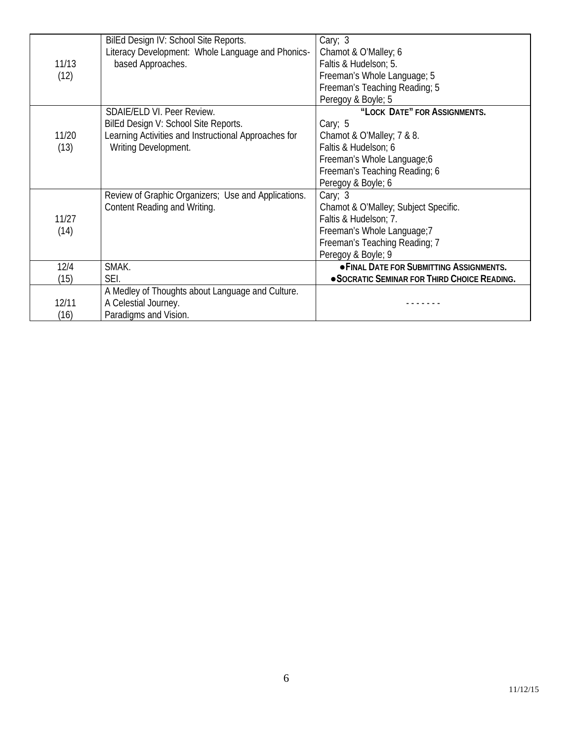|       | BilEd Design IV: School Site Reports.                | Cary; 3                                         |
|-------|------------------------------------------------------|-------------------------------------------------|
|       | Literacy Development: Whole Language and Phonics-    | Chamot & O'Malley; 6                            |
| 11/13 | based Approaches.                                    | Faltis & Hudelson; 5.                           |
| (12)  |                                                      | Freeman's Whole Language; 5                     |
|       |                                                      | Freeman's Teaching Reading; 5                   |
|       |                                                      | Peregoy & Boyle; 5                              |
|       | SDAIE/ELD VI. Peer Review.                           | "LOCK DATE" FOR ASSIGNMENTS.                    |
|       | BilEd Design V: School Site Reports.                 | Cary; $5$                                       |
| 11/20 | Learning Activities and Instructional Approaches for | Chamot & O'Malley; 7 & 8.                       |
| (13)  | Writing Development.                                 | Faltis & Hudelson; 6                            |
|       |                                                      | Freeman's Whole Language;6                      |
|       |                                                      | Freeman's Teaching Reading; 6                   |
|       |                                                      | Peregoy & Boyle; 6                              |
|       | Review of Graphic Organizers; Use and Applications.  | Cary; $3$                                       |
|       | Content Reading and Writing.                         | Chamot & O'Malley; Subject Specific.            |
| 11/27 |                                                      | Faltis & Hudelson; 7.                           |
| (14)  |                                                      | Freeman's Whole Language;7                      |
|       |                                                      | Freeman's Teaching Reading; 7                   |
|       |                                                      | Peregoy & Boyle; 9                              |
| 12/4  | SMAK.                                                | <b>. FINAL DATE FOR SUBMITTING ASSIGNMENTS.</b> |
| (15)  | SEI.                                                 | • SOCRATIC SEMINAR FOR THIRD CHOICE READING.    |
|       | A Medley of Thoughts about Language and Culture.     |                                                 |
| 12/11 | A Celestial Journey.                                 |                                                 |
| (16)  | Paradigms and Vision.                                |                                                 |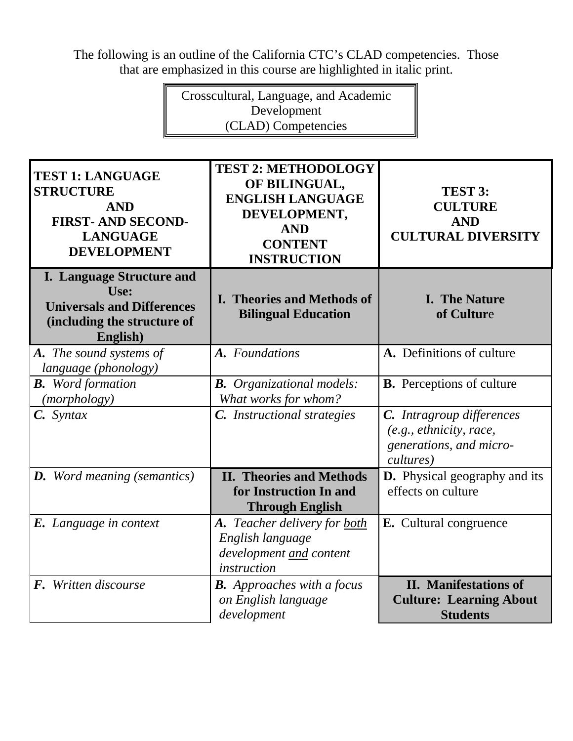The following is an outline of the California CTC's CLAD competencies. Those that are emphasized in this course are highlighted in italic print.

> Crosscultural, Language, and Academic Development (CLAD) Competencies

| <b>TEST 1: LANGUAGE</b><br><b>STRUCTURE</b><br><b>AND</b><br><b>FIRST-AND SECOND-</b><br><b>LANGUAGE</b><br><b>DEVELOPMENT</b> | <b>TEST 2: METHODOLOGY</b><br>OF BILINGUAL,<br><b>ENGLISH LANGUAGE</b><br>DEVELOPMENT,<br><b>AND</b><br><b>CONTENT</b><br><b>INSTRUCTION</b> | TEST 3:<br><b>CULTURE</b><br><b>AND</b><br><b>CULTURAL DIVERSITY</b>                         |
|--------------------------------------------------------------------------------------------------------------------------------|----------------------------------------------------------------------------------------------------------------------------------------------|----------------------------------------------------------------------------------------------|
| <b>I. Language Structure and</b><br>Use:<br><b>Universals and Differences</b><br>(including the structure of<br>English)       | I. Theories and Methods of<br><b>Bilingual Education</b>                                                                                     | <b>I.</b> The Nature<br>of Culture                                                           |
| A. The sound systems of<br>language (phonology)                                                                                | A. Foundations                                                                                                                               | A. Definitions of culture                                                                    |
| <b>B.</b> Word formation<br>( <i>morphology</i> )                                                                              | <b>B.</b> Organizational models:<br>What works for whom?                                                                                     | <b>B.</b> Perceptions of culture                                                             |
| $C.$ Syntax                                                                                                                    | C. Instructional strategies                                                                                                                  | C. Intragroup differences<br>(e.g., ethnicity, race,<br>generations, and micro-<br>cultures) |
| <b>D.</b> Word meaning (semantics)                                                                                             | <b>II. Theories and Methods</b><br>for Instruction In and<br><b>Through English</b>                                                          | <b>D.</b> Physical geography and its<br>effects on culture                                   |
| <b>E.</b> Language in context                                                                                                  | A. Teacher delivery for both<br>English language<br>development and content<br>instruction                                                   | <b>E.</b> Cultural congruence                                                                |
| F. Written discourse                                                                                                           | <b>B.</b> Approaches with a focus<br>on English language<br>development                                                                      | <b>II.</b> Manifestations of<br><b>Culture: Learning About</b><br><b>Students</b>            |